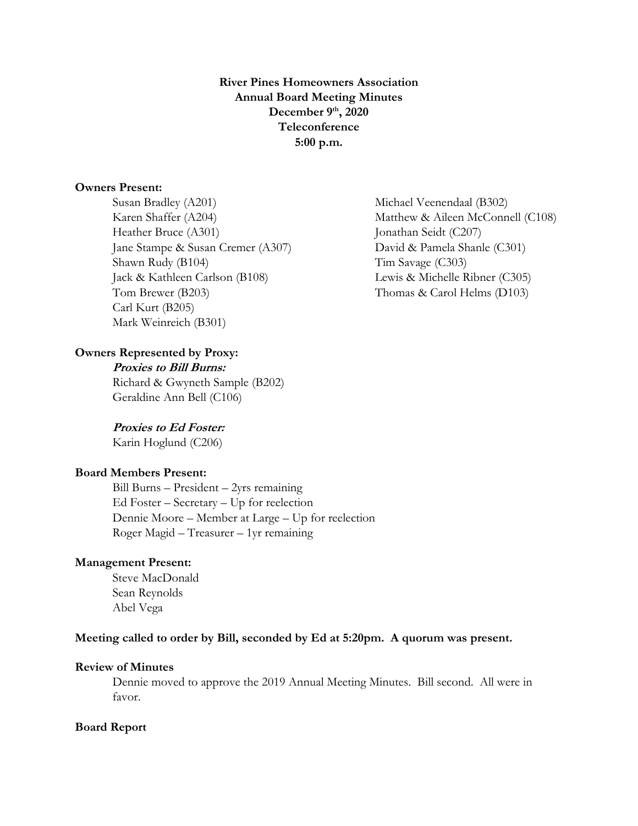**River Pines Homeowners Association Annual Board Meeting Minutes December 9 th, 2020 Teleconference 5:00 p.m.**

### **Owners Present:**

Susan Bradley (A201) Michael Veenendaal (B302) Heather Bruce (A301) Jonathan Seidt (C207) Jane Stampe & Susan Cremer (A307) David & Pamela Shanle (C301) Shawn Rudy (B104) Tim Savage (C303) Jack & Kathleen Carlson (B108) Lewis & Michelle Ribner (C305) Tom Brewer (B203) Thomas & Carol Helms (D103) Carl Kurt (B205) Mark Weinreich (B301)

# **Owners Represented by Proxy:**

**Proxies to Bill Burns:** Richard & Gwyneth Sample (B202) Geraldine Ann Bell (C106)

# **Proxies to Ed Foster:**

Karin Hoglund (C206)

# **Board Members Present:**

Bill Burns – President – 2yrs remaining Ed Foster – Secretary – Up for reelection Dennie Moore – Member at Large – Up for reelection Roger Magid – Treasurer – 1yr remaining

## **Management Present:**

Steve MacDonald Sean Reynolds Abel Vega

## **Meeting called to order by Bill, seconded by Ed at 5:20pm. A quorum was present.**

# **Review of Minutes**

Dennie moved to approve the 2019 Annual Meeting Minutes. Bill second. All were in favor.

#### **Board Report**

Karen Shaffer (A204) Matthew & Aileen McConnell (C108)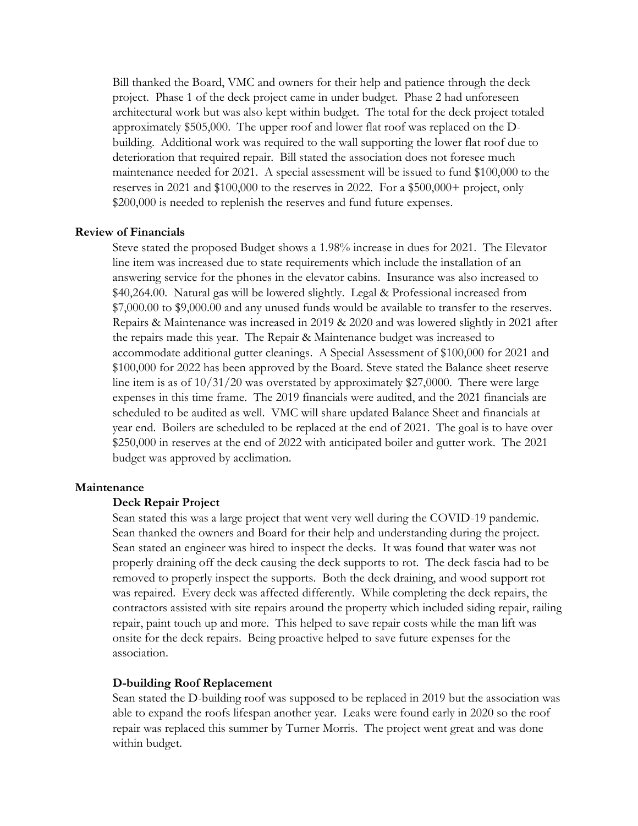Bill thanked the Board, VMC and owners for their help and patience through the deck project. Phase 1 of the deck project came in under budget. Phase 2 had unforeseen architectural work but was also kept within budget. The total for the deck project totaled approximately \$505,000. The upper roof and lower flat roof was replaced on the Dbuilding. Additional work was required to the wall supporting the lower flat roof due to deterioration that required repair. Bill stated the association does not foresee much maintenance needed for 2021. A special assessment will be issued to fund \$100,000 to the reserves in 2021 and \$100,000 to the reserves in 2022. For a \$500,000+ project, only \$200,000 is needed to replenish the reserves and fund future expenses.

#### **Review of Financials**

Steve stated the proposed Budget shows a 1.98% increase in dues for 2021. The Elevator line item was increased due to state requirements which include the installation of an answering service for the phones in the elevator cabins. Insurance was also increased to \$40,264.00. Natural gas will be lowered slightly. Legal & Professional increased from \$7,000.00 to \$9,000.00 and any unused funds would be available to transfer to the reserves. Repairs & Maintenance was increased in 2019 & 2020 and was lowered slightly in 2021 after the repairs made this year. The Repair & Maintenance budget was increased to accommodate additional gutter cleanings. A Special Assessment of \$100,000 for 2021 and \$100,000 for 2022 has been approved by the Board. Steve stated the Balance sheet reserve line item is as of 10/31/20 was overstated by approximately \$27,0000. There were large expenses in this time frame. The 2019 financials were audited, and the 2021 financials are scheduled to be audited as well. VMC will share updated Balance Sheet and financials at year end. Boilers are scheduled to be replaced at the end of 2021. The goal is to have over \$250,000 in reserves at the end of 2022 with anticipated boiler and gutter work. The 2021 budget was approved by acclimation.

### **Maintenance**

#### **Deck Repair Project**

Sean stated this was a large project that went very well during the COVID-19 pandemic. Sean thanked the owners and Board for their help and understanding during the project. Sean stated an engineer was hired to inspect the decks. It was found that water was not properly draining off the deck causing the deck supports to rot. The deck fascia had to be removed to properly inspect the supports. Both the deck draining, and wood support rot was repaired. Every deck was affected differently. While completing the deck repairs, the contractors assisted with site repairs around the property which included siding repair, railing repair, paint touch up and more. This helped to save repair costs while the man lift was onsite for the deck repairs. Being proactive helped to save future expenses for the association.

#### **D-building Roof Replacement**

Sean stated the D-building roof was supposed to be replaced in 2019 but the association was able to expand the roofs lifespan another year. Leaks were found early in 2020 so the roof repair was replaced this summer by Turner Morris. The project went great and was done within budget.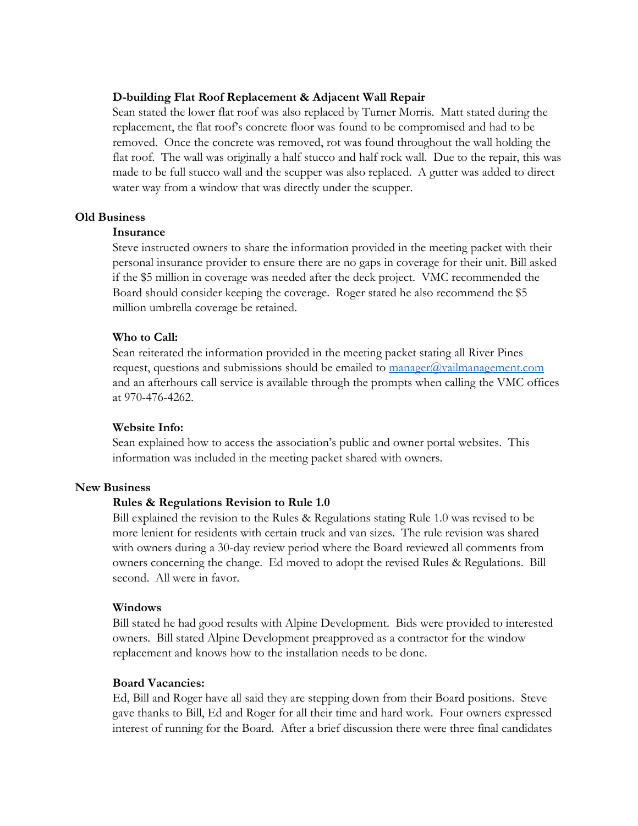# **D-building Flat Roof Replacement & Adjacent Wall Repair**

Sean stated the lower flat roof was also replaced by Turner Morris. Matt stated during the replacement, the flat roof's concrete floor was found to be compromised and had to be removed. Once the concrete was removed, rot was found throughout the wall holding the flat roof. The wall was originally a half stucco and half rock wall. Due to the repair, this was made to be full stucco wall and the scupper was also replaced. A gutter was added to direct water way from a window that was directly under the scupper.

## **Old Business**

# **Insurance**

Steve instructed owners to share the information provided in the meeting packet with their personal insurance provider to ensure there are no gaps in coverage for their unit. Bill asked if the \$5 million in coverage was needed after the deck project. VMC recommended the Board should consider keeping the coverage. Roger stated he also recommend the \$5 million umbrella coverage be retained.

## **Who to Call:**

Sean reiterated the information provided in the meeting packet stating all River Pines request, questions and submissions should be emailed to manager $\omega$ vailmanagement.com and an afterhours call service is available through the prompts when calling the VMC offices at 970-476-4262.

## **Website Info:**

Sean explained how to access the association's public and owner portal websites. This information was included in the meeting packet shared with owners.

# **New Business**

# **Rules & Regulations Revision to Rule 1.0**

Bill explained the revision to the Rules & Regulations stating Rule 1.0 was revised to be more lenient for residents with certain truck and van sizes. The rule revision was shared with owners during a 30-day review period where the Board reviewed all comments from owners concerning the change. Ed moved to adopt the revised Rules & Regulations. Bill second. All were in favor.

#### **Windows**

Bill stated he had good results with Alpine Development. Bids were provided to interested owners. Bill stated Alpine Development preapproved as a contractor for the window replacement and knows how to the installation needs to be done.

# **Board Vacancies:**

Ed, Bill and Roger have all said they are stepping down from their Board positions. Steve gave thanks to Bill, Ed and Roger for all their time and hard work. Four owners expressed interest of running for the Board. After a brief discussion there were three final candidates